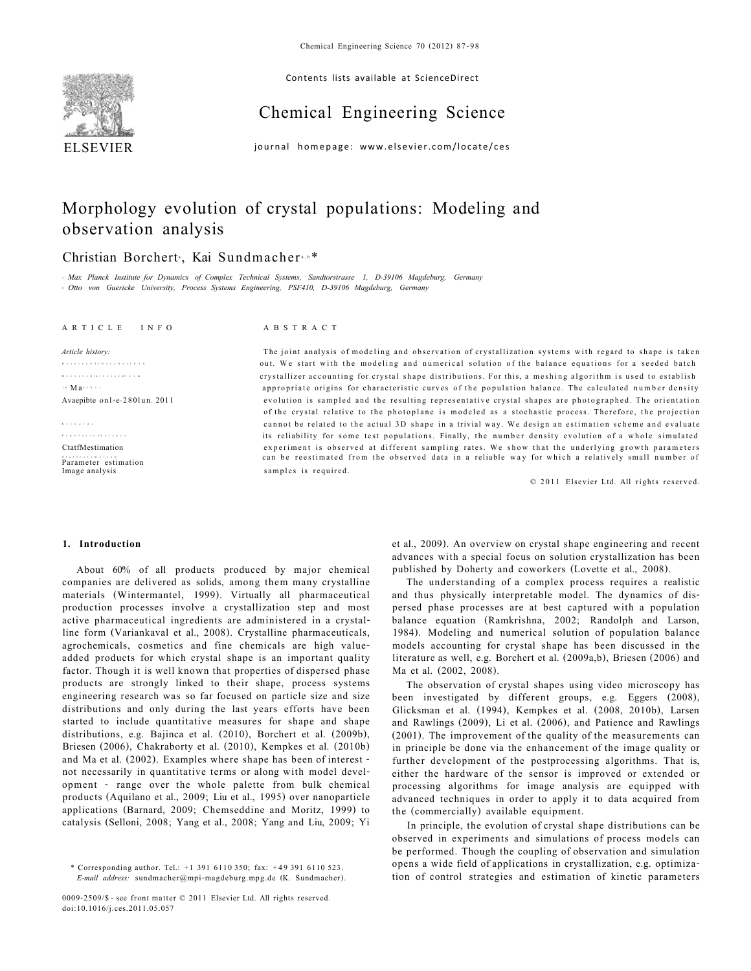

Contents lists available at ScienceDirect

# Chemical Engineering Science

journal homepage: [www.elsevier.com/locate/ce](http://www.elsevier.com/locate/ces)s

# Morphology evolution of crystal populations: Modeling and observation analysis

# Christian Borchert<sup>,</sup>, Kai Sundmacher.<sup>b\*</sup>

*a Max Planck Institute for Dynamics of Complex Technical Systems, Sandtorstrasse 1, D-39106 Magdeburg, Germany b Otto von Guericke University, Process Systems Engineering, PSF410, D-39106 Magdeburg, Germany* 

#### ARTICL E INF O ABSTRAC T

Receive d 1 2 Octobe r 201 0 Receive d i n revise d for m  $\cdot \cdot$  Mar  $\cdot \cdot \cdot$ 

Populatio n balanc e Parameter estimation

*Keywords :*

*Article history:* The joint analysis of modeling and observation of crystallization systems with regard to shape is taken out. We start with the modeling and numerical solution of the balance equations for a seeded batch crystallizer accounting for crystal shape distributions. For this, a meshing algorithm is used to establish appropriate origins for characteristic curves of the population balance. The calculated number density Avaepibte onl ev280lun, 2011 evolution is sampled and the resulting representative crystal shapes are photographed. The orientation of the crystal relative to the photoplane is modeled as a stochastic process. Therefore, the projection cannot be related to the actual 3D shape in a trivial way. We design an estimation scheme and evaluate its reliability for some test populations. Finally, the number density evolution of a whole simulated CtatfMestimation experiment is observed at different sampling rates. We show that the underlying growth parameters can be reestimated from the observed data in a reliable way for which a relatively small number of Image analysis samples is required.

© 2011 Elsevier Ltd. All rights reserved.

# **1. Introduction**

About 60% of all products produced by major chemical companies are delivered as solids, among them many crystalline materials (Wintermantel, 1999). Virtually all pharmaceutical production processes involve a crystallization step and most active pharmaceutical ingredients are administered in a crystalline form (Variankaval et al., 2008). Crystalline pharmaceuticals, agrochemicals, cosmetics and fine chemicals are high valueadded products for which crystal shape is an important quality factor. Though it is well known that properties of dispersed phase products are strongly linked to their shape, process systems engineering research was so far focused on particle size and size distributions and only during the last years efforts have been started to include quantitative measures for shape and shape distributions, e.g. Bajinca et al. (2010), Borchert et al. (2009b), Briesen (2006), Chakraborty et al. (2010), Kempkes et al. (2010b) and Ma et al. (2002). Examples where shape has been of interest not necessarily in quantitative terms or along with model development - range over the whole palette from bulk chemical products (Aquilano et al., 2009; Liu et al., 1995) over nanoparticle applications (Barnard, 2009; Chemseddine and Moritz, 1999) to catalysis (Selloni, 2008; Yang et al., 2008; Yang and Liu, 2009; [Yi](#page-11-0)

0009-2509/\$ - see front matter © 2011 Elsevier Ltd. All rights reserved. doi:10.1016/j.ces.2011.05.057

et al., 2009). An overview on crystal shape engineering and recent advances with a special focus on solution crystallization has been published by Doherty and coworkers (Lovette et al., 2008).

The understanding of a complex process requires a realistic and thus physically interpretable model. The dynamics of dispersed phase processes are at best captured with a population balance equation (Ramkrishna, 2002; Randolph and Larson, 1984). Modeling and numerical solution of population balance models accounting for crystal shape has been discussed in the literature as well, e.g. Borchert et al. (2009a,b), Briesen (2006) and Ma et al. (2002, 2008).

The observation of crystal shapes using video microscopy has been investigated by different groups, e.g. Eggers (2008), Glicksman et al. (1994), Kempkes et al. (2008, 2010b), Larsen and Rawlings (2009), Li et al. (2006), and Patience and Rawlings (2001). The improvement of the quality of the measurements can in principle be done via the enhancement of the image quality or further development of the postprocessing algorithms. That is, either the hardware of the sensor is improved or extended or processing algorithms for image analysis are equipped with advanced techniques in order to apply it to data acquired from the (commercially) available equipment.

In principle, the evolution of crystal shape distributions can be observed in experiments and simulations of process models can be performed. Though the coupling of observation and simulation opens a wide field of applications in crystallization, e.g. optimization of control strategies and estimation of kinetic parameters

<sup>\*</sup> Corresponding author. Tel.: +1 391 6110 350; fax: +49 391 6110 523. *E-mail address:* [sundmacher@mpi-magdeburg.mpg.de \(](mailto:sundmacher@mpi-magdeburg.mpg.de)K. Sundmacher).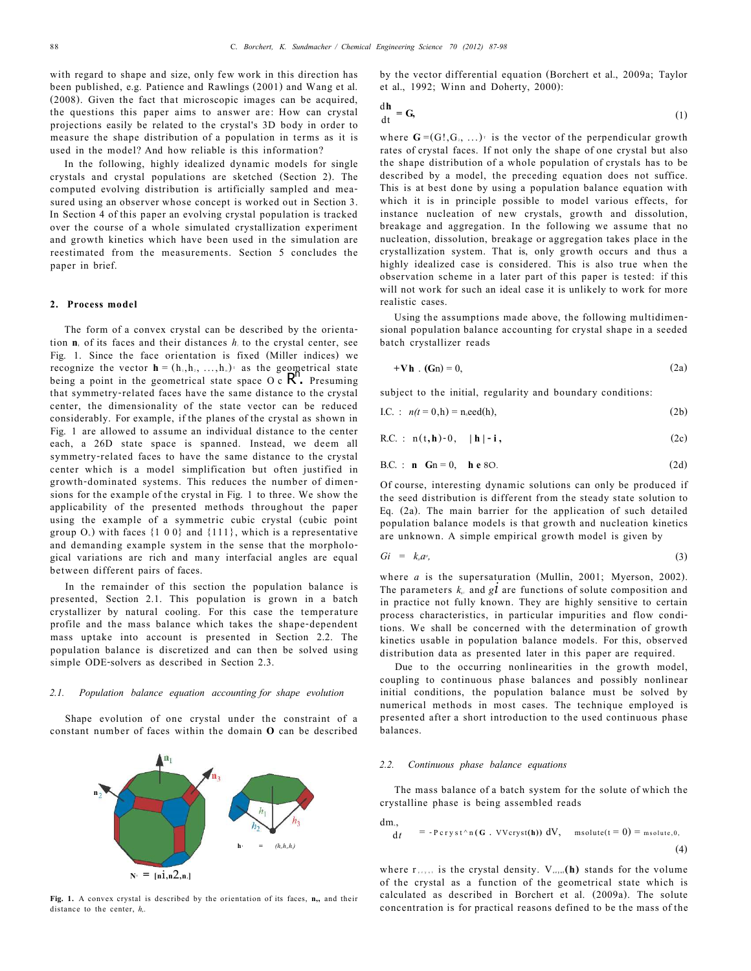with regard to shape and size, only few work in this direction has been published, e.g. Patience and Rawlings (2001) and Wang et al. (2008). Given the fact that microscopic images can be acquired, the questions this paper aims to answer are: How can crystal projections easily be related to the crystal's 3D body in order to measure the shape distribution of a population in terms as it is used in the model? And how reliable is this information?

In the following, highly idealized dynamic models for single crystals and crystal populations are sketched (Section 2). The computed evolving distribution is artificially sampled and measured using an observer whose concept is worked out in Section 3. In Section 4 of this paper an evolving crystal population is tracked over the course of a whole simulated crystallization experiment and growth kinetics which have been used in the simulation are reestimated from the measurements. Section 5 concludes the paper in brief.

### **2. Process model**

The form of a convex crystal can be described by the orientation **ni** of its faces and their distances *hi* to the crystal center, see Fig. 1. Since the face orientation is fixed (Miller indices) we recognize the vector  $\mathbf{h} = (h_1, h_2, ..., h_n)$ <sup>t</sup> as the geometrical state being a point in the geometrical state space  $O \ncR$ . Presuming that symmetry-related faces have the same distance to the crystal center, the dimensionality of the state vector can be reduced considerably. For example, if the planes of the crystal as shown in Fig. 1 are allowed to assume an individual distance to the center each, a 26D state space is spanned. Instead, we deem all symmetry-related faces to have the same distance to the crystal center which is a model simplification but often justified in growth-dominated systems. This reduces the number of dimensions for the example of the crystal in Fig. 1 to three. We show the applicability of the presented methods throughout the paper using the example of a symmetric cubic crystal (cubic point group  $O_n$ ) with faces  $\{1\ 0\ 0\}$  and  $\{111\}$ , which is a representative and demanding example system in the sense that the morphological variations are rich and many interfacial angles are equal between different pairs of faces.

In the remainder of this section the population balance is presented, Section 2.1. This population is grown in a batch crystallizer by natural cooling. For this case the temperature profile and the mass balance which takes the shape-dependent mass uptake into account is presented in Section 2.2. The population balance is discretized and can then be solved using simple ODE-solvers as described in Section 2.3.

# *2.1. Population balance equation accounting for shape evolution*

Shape evolution of one crystal under the constraint of a constant number of faces within the domain **O** can be described



**Fig. 1.** A convex crystal is described by the orientation of its faces, **n,,** and their distance to the center, *h,.* 

by the vector differential equation (Borchert et al., 2009a; Taylor et al., 1992; Winn and Doherty, 2000):

$$
\frac{dh}{dt} = G, \tag{1}
$$

where  $G = (G!, G_{2}, ...)$  is the vector of the perpendicular growth rates of crystal faces. If not only the shape of one crystal but also the shape distribution of a whole population of crystals has to be described by a model, the preceding equation does not suffice. This is at best done by using a population balance equation with which it is in principle possible to model various effects, for instance nucleation of new crystals, growth and dissolution, breakage and aggregation. In the following we assume that no nucleation, dissolution, breakage or aggregation takes place in the crystallization system. That is, only growth occurs and thus a highly idealized case is considered. This is also true when the observation scheme in a later part of this paper is tested: if this will not work for such an ideal case it is unlikely to work for more realistic cases.

Using the assumptions made above, the following multidimensional population balance accounting for crystal shape in a seeded batch crystallizer reads

$$
+\mathbf{V}\mathbf{h} \cdot (\mathbf{G}\mathbf{n}) = 0, \tag{2a}
$$

subject to the initial, regularity and boundary conditions:

$$
I.C. : n(t = 0,h) = n \cdot \text{eed}(h), \tag{2b}
$$

R.C. : 
$$
n(t, h) - 0
$$
,  $|h| - i$ , (2c)

B.C. : **n** 
$$
Sn = 0
$$
, **h** e 8O. (2d)

Of course, interesting dynamic solutions can only be produced if the seed distribution is different from the steady state solution to Eq. (2a). The main barrier for the application of such detailed population balance models is that growth and nucleation kinetics are unknown. A simple empirical growth model is given by

$$
Gi = ks as,
$$
 (3)

where *a* is the supersaturation (Mullin, 2001; Myerson, 2002). The parameters  $k_{ij}$  and gl are functions of solute composition and in practice not fully known. They are highly sensitive to certain process characteristics, in particular impurities and flow conditions. We shall be concerned with the determination of growth kinetics usable in population balance models. For this, observed distribution data as presented later in this paper are required.

Due to the occurring nonlinearities in the growth model, coupling to continuous phase balances and possibly nonlinear initial conditions, the population balance must be solved by numerical methods in most cases. The technique employed is presented after a short introduction to the used continuous phase balances.

#### *2.2. Continuous phase balance equations*

The mass balance of a batch system for the solute of which the crystalline phase is being assembled reads

dm.,  
\n
$$
\begin{array}{ll}\n\text{dm}, & = -P \, \text{cr}\, \text{r}\, \text{r} \, \text{r} \, \text{r} \, (\text{G} \cdot \text{V} \, \text{cr} \, \text{r} \, \text{r}) \, dV, \quad \text{msolute}(t=0) = \text{msolute}, \\
\text{(4)}\n\end{array}
$$

where  $r_{crys}$  is the crystal density.  $V_{crys}$  (h) stands for the volume of the crystal as a function of the geometrical state which is calculated as described in Borchert et al. (2009a). The solute concentration is for practical reasons defined to be the mass of the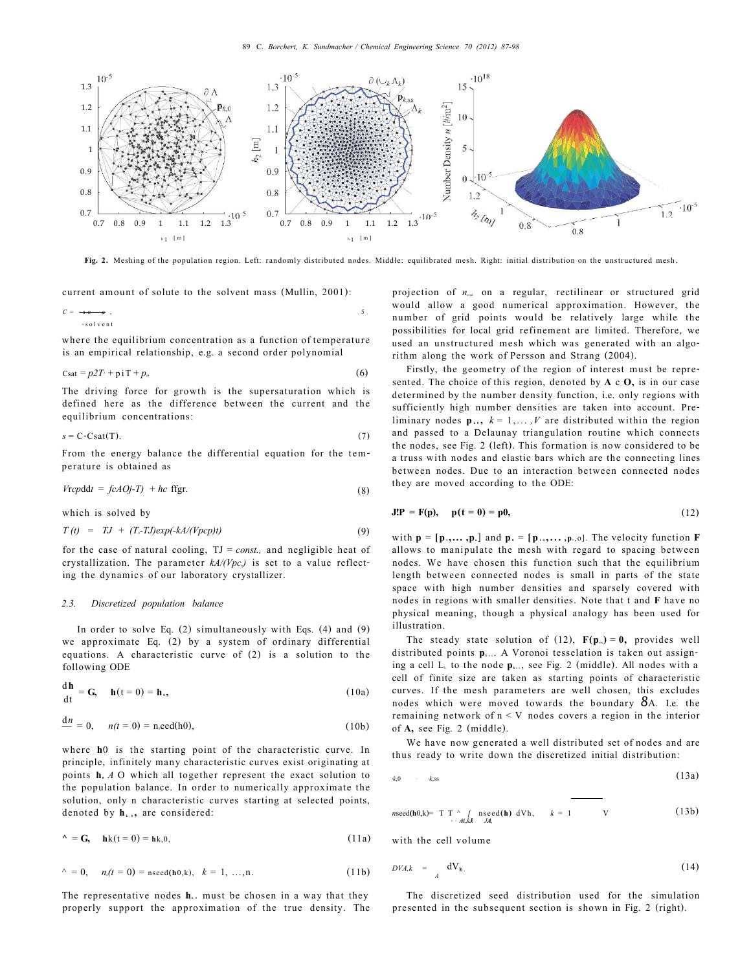

**Fig. 2.** Meshing of the population region. Left: randomly distributed nodes. Middle: equilibrated mesh. Right: initial distribution on the unstructured mesh.

current amount of solute to the solvent mass (Mullin, 2001):

*C* =<sup>m</sup> s o lut e , ( 5 } <sup>m</sup> solvent

where the equilibrium concentration as a function of temperature is an empirical relationship, e.g. a second order polynomial

$$
C_{\text{sat}} = p2T + \dot{p} \cdot T + p_{\text{e}}
$$
 (6)

The driving force for growth is the supersaturation which is defined here as the difference between the current and the equilibrium concentrations:

$$
s = C-Csat(T). \tag{7}
$$

From the energy balance the differential equation for the temperature is obtained as

$$
Vrcpddt = fcAOj-T) + hc
$$
 *figr.* (8)

which is solved by

d**h** 

$$
T(t) = TJ + (Tc-TJ)exp(-kA/(Vpcp)t)
$$
\n(9)

for the case of natural cooling, TJ = *const.,* and negligible heat of crystallization. The parameter  $kA/(Vpc<sub>p</sub>)$  is set to a value reflecting the dynamics of our laboratory crystallizer.

#### *2.3. Discretized population balance*

In order to solve Eq. (2) simultaneously with Eqs. (4) and (9) we approximate Eq. (2) by a system of ordinary differential equations. A characteristic curve of (2) is a solution to the following ODE

$$
\frac{d\mathbf{h}}{dt} = \mathbf{G}, \quad \mathbf{h}(t=0) = \mathbf{h}_{\cdot}, \tag{10a}
$$

$$
\frac{d n}{d n} = 0, \quad n(t = 0) = n \cdot \text{seed(h0)}, \tag{10b}
$$

where **h**0 is the starting point of the characteristic curve. In principle, infinitely many characteristic curves exist originating at points **h0** *A* O which all together represent the exact solution to the population balance. In order to numerically approximate the solution, only n characteristic curves starting at selected points, denoted by **hk,0 ,** are considered:

$$
\wedge = \mathbf{G}, \quad \mathbf{h}\mathbf{k}(\mathbf{t} = 0) = \mathbf{h}\mathbf{k}, \mathbf{0}, \tag{11a}
$$

$$
\wedge = 0, \quad n(t = 0) = \text{nseed}(\mathbf{h}0, k), \quad k = 1, \dots, n. \tag{11b}
$$

The representative nodes  $h_{k0}$  must be chosen in a way that they properly support the approximation of the true density. The

projection of  $n_{\text{max}}$  on a regular, rectilinear or structured grid would allow a good numerical approximation. However, the number of grid points would be relatively large while the possibilities for local grid refinement are limited. Therefore, we used an unstructured mesh which was generated with an algorithm along the work of Persson and Strang (2004).

Firstly, the geometry of the region of interest must be represented. The choice of this region, denoted by **A** c **O,** is in our case determined by the number density function, i.e. only regions with sufficiently high number densities are taken into account. Preliminary nodes  $\mathbf{p}_{k}$ ,  $k = 1, \ldots, V$  are distributed within the region and passed to a Delaunay triangulation routine which connects the nodes, see Fig. 2 (left). This formation is now considered to be a truss with nodes and elastic bars which are the connecting lines between nodes. Due to an interaction between connected nodes they are moved according to the ODE:

$$
J!P = F(p), \quad p(t = 0) = p0,
$$
 (12)

with  $p = [p_1, \ldots, p_n]$  and  $p_i = [p_1, \ldots, p_n]$ . The velocity function **F** allows to manipulate the mesh with regard to spacing between nodes. We have chosen this function such that the equilibrium length between connected nodes is small in parts of the state space with high number densities and sparsely covered with nodes in regions with smaller densities. Note that t and **F** have no physical meaning, though a physical analogy has been used for illustration.

The steady state solution of (12),  $F(p_0) = 0$ , provides well distributed points  $\mathbf{p}_{k+1}$ . A Voronoi tesselation is taken out assigning a cell  $L_k$  to the node  $p_{k+1}$ , see Fig. 2 (middle). All nodes with a cell of finite size are taken as starting points of characteristic curves. If the mesh parameters are well chosen, this excludes nodes which were moved towards the boundary *8*A. I.e. the remaining network of n < V nodes covers a region in the interior of **A,** see Fig. 2 (middle).

We have now generated a well distributed set of nodes and are thus ready to write down the discretized initial distribution:

$$
k,0 \qquad k,ss \qquad (13a)
$$

$$
n\mathrm{seed}(\mathbf{h}0,k)=\begin{array}{ccc}\n\text{T} & \wedge & \text{T} & \text{n}\mathrm{seed}(\mathbf{h}) & \text{dV}\,\text{h}, & k=1 & \text{V}\n\end{array} \tag{13b}
$$

with the cell volume

$$
DVA, k = \frac{dV_h}{d}.
$$
 (14)

The discretized seed distribution used for the simulation presented in the subsequent section is shown in Fig. 2 (right).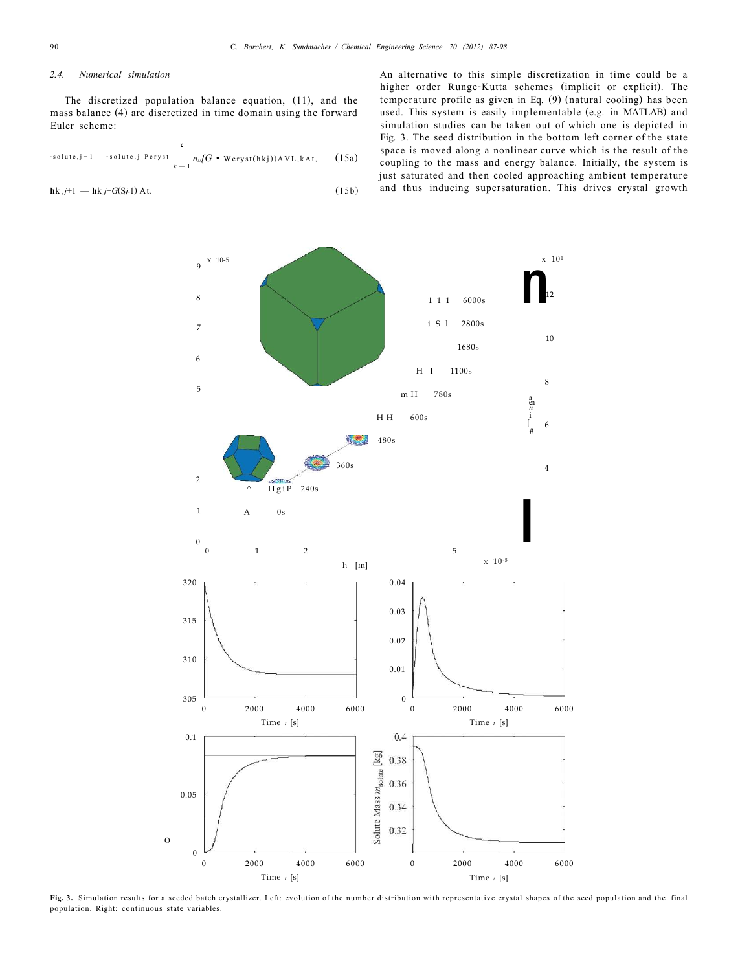# *2.4. Numerical simulation*

The discretized population balance equation, (11), and the mass balance (4) are discretized in time domain using the forward Euler scheme:

-solute,j+1 --solute,j-Peryst 
$$
\sum_{k=1}^{k} n_{\omega} (G \cdot \text{Wcryst}(\text{hkj})) \text{AVL}, k \text{At}, \quad (15a)
$$

$$
\mathbf{h}k \, j+1 \, -\mathbf{h}k \, j+G(Sj.1) \, \mathbf{A}t. \tag{15b}
$$

An alternative to this simple discretization in time could be a higher order Runge-Kutta schemes (implicit or explicit). The temperature profile as given in Eq. (9) (natural cooling) has been used. This system is easily implementable (e.g. in MATLAB) and simulation studies can be taken out of which one is depicted in Fig. 3. The seed distribution in the bottom left corner of the state space is moved along a nonlinear curve which is the result of the coupling to the mass and energy balance. Initially, the system is just saturated and then cooled approaching ambient temperature and thus inducing supersaturation. This drives crystal growth



**Fig. 3.** Simulation results for a seeded batch crystallizer. Left: evolution of the number distribution with representative crystal shapes of the seed population and the final population. Right: continuous state variables.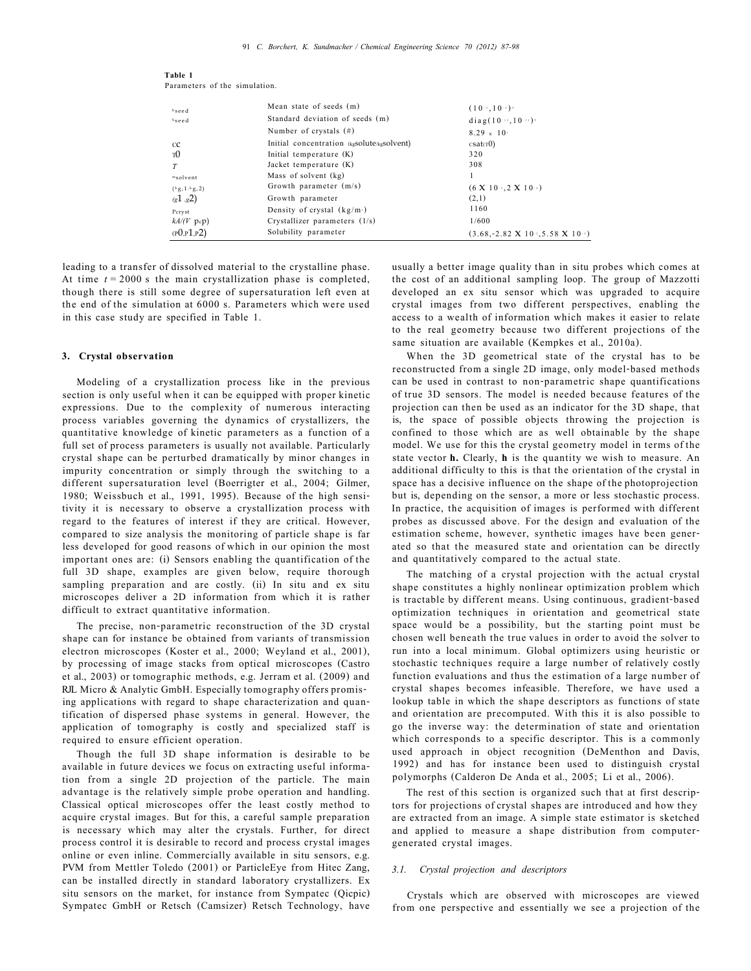| hseed                   | Mean state of seeds (m)                    | (10.5, 10.5)                                     |
|-------------------------|--------------------------------------------|--------------------------------------------------|
| <sup>S</sup> seed       | Standard deviation of seeds (m)            | diag(1010)                                       |
|                         | Number of crystals $(\#)$                  | $8.29 \times 10$                                 |
| CC                      | Initial concentration (kgsolute/kgsolvent) | csat(T0)                                         |
| <sup>T</sup> O          | Initial temperature (K)                    | 320                                              |
| T                       | Jacket temperature (K)                     | 308                                              |
| msolvent                | Mass of solvent (kg)                       |                                                  |
| $({}^{k}g,1,{}^{k}g,2)$ | Growth parameter $(m/s)$                   | $(6 \times 10^{-3} \cdot 2 \times 10^{-3})$      |
| (g1, g2)                | Growth parameter                           | (2,1)                                            |
| Pcryst                  | Density of crystal $(kg/m)$                | 1160                                             |
| $kA/(V \text{pcp})$     | Crystallizer parameters $(1/s)$            | 1/600                                            |
| (PQ,P1,P2)              | Solubility parameter                       | $(3.68,-2.82 \times 10^{3}, 5.58 \times 10^{3})$ |

**Table 1**  Parameters of the simulation.

leading to a transfer of dissolved material to the crystalline phase. At time *t* = 2000 s the main crystallization phase is completed, though there is still some degree of supersaturation left even at the end of the simulation at 6000 s. Parameters which were used in this case study are specified in Table 1.

## **3. Crystal observation**

Modeling of a crystallization process like in the previous section is only useful when it can be equipped with proper kinetic expressions. Due to the complexity of numerous interacting process variables governing the dynamics of crystallizers, the quantitative knowledge of kinetic parameters as a function of a full set of process parameters is usually not available. Particularly crystal shape can be perturbed dramatically by minor changes in impurity concentration or simply through the switching to a different supersaturation level (Boerrigter et al., 2004; Gilmer, 1980; Weissbuch et al., 1991, 1995). Because of the high sensitivity it is necessary to observe a crystallization process with regard to the features of interest if they are critical. However, compared to size analysis the monitoring of particle shape is far less developed for good reasons of which in our opinion the most important ones are: (i) Sensors enabling the quantification of the full 3D shape, examples are given below, require thorough sampling preparation and are costly. (ii) In situ and ex situ microscopes deliver a 2D information from which it is rather difficult to extract quantitative information.

The precise, non-parametric reconstruction of the 3D crystal shape can for instance be obtained from variants of transmission electron microscopes (Koster et al., 2000; Weyland et al., 2001), by processing of image stacks from optical microscopes (Castro et al., 2003) or tomographic methods, e.g. Jerram et al. (2009) and RJL Micro & Analytic GmbH. Especially tomography offers promising applications with regard to shape characterization and quantification of dispersed phase systems in general. However, the application of tomography is costly and specialized staff is required to ensure efficient operation.

Though the full 3D shape information is desirable to be available in future devices we focus on extracting useful information from a single 2D projection of the particle. The main advantage is the relatively simple probe operation and handling. Classical optical microscopes offer the least costly method to acquire crystal images. But for this, a careful sample preparation is necessary which may alter the crystals. Further, for direct process control it is desirable to record and process crystal images online or even inline. Commercially available in situ sensors, e.g. PVM from Mettler Toledo (2001) or ParticleEye from Hitec Zang, can be installed directly in standard laboratory crystallizers. Ex situ sensors on the market, for instance from Sympatec (Qicpic) Sympatec GmbH or Retsch (Camsizer) Retsch Technology, have usually a better image quality than in situ probes which comes at the cost of an additional sampling loop. The group of Mazzotti developed an ex situ sensor which was upgraded to acquire crystal images from two different perspectives, enabling the access to a wealth of information which makes it easier to relate to the real geometry because two different projections of the same situation are available (Kempkes et al., 2010a).

When the 3D geometrical state of the crystal has to be reconstructed from a single 2D image, only model-based methods can be used in contrast to non-parametric shape quantifications of true 3D sensors. The model is needed because features of the projection can then be used as an indicator for the 3D shape, that is, the space of possible objects throwing the projection is confined to those which are as well obtainable by the shape model. We use for this the crystal geometry model in terms of the state vector **h.** Clearly, **h** is the quantity we wish to measure. An additional difficulty to this is that the orientation of the crystal in space has a decisive influence on the shape of the photoprojection but is, depending on the sensor, a more or less stochastic process. In practice, the acquisition of images is performed with different probes as discussed above. For the design and evaluation of the estimation scheme, however, synthetic images have been generated so that the measured state and orientation can be directly and quantitatively compared to the actual state.

The matching of a crystal projection with the actual crystal shape constitutes a highly nonlinear optimization problem which is tractable by different means. Using continuous, gradient-based optimization techniques in orientation and geometrical state space would be a possibility, but the starting point must be chosen well beneath the true values in order to avoid the solver to run into a local minimum. Global optimizers using heuristic or stochastic techniques require a large number of relatively costly function evaluations and thus the estimation of a large number of crystal shapes becomes infeasible. Therefore, we have used a lookup table in which the shape descriptors as functions of state and orientation are precomputed. With this it is also possible to go the inverse way: the determination of state and orientation which corresponds to a specific descriptor. This is a commonly used approach in object recognition (DeMenthon and Davis, 1992) and has for instance been used to distinguish crystal polymorphs (Calderon De Anda et al., 2005; Li et al., 2006).

The rest of this section is organized such that at first descriptors for projections of crystal shapes are introduced and how they are extracted from an image. A simple state estimator is sketched and applied to measure a shape distribution from computergenerated crystal images.

#### *3.1. Crystal projection and descriptors*

Crystals which are observed with microscopes are viewed from one perspective and essentially we see a projection of the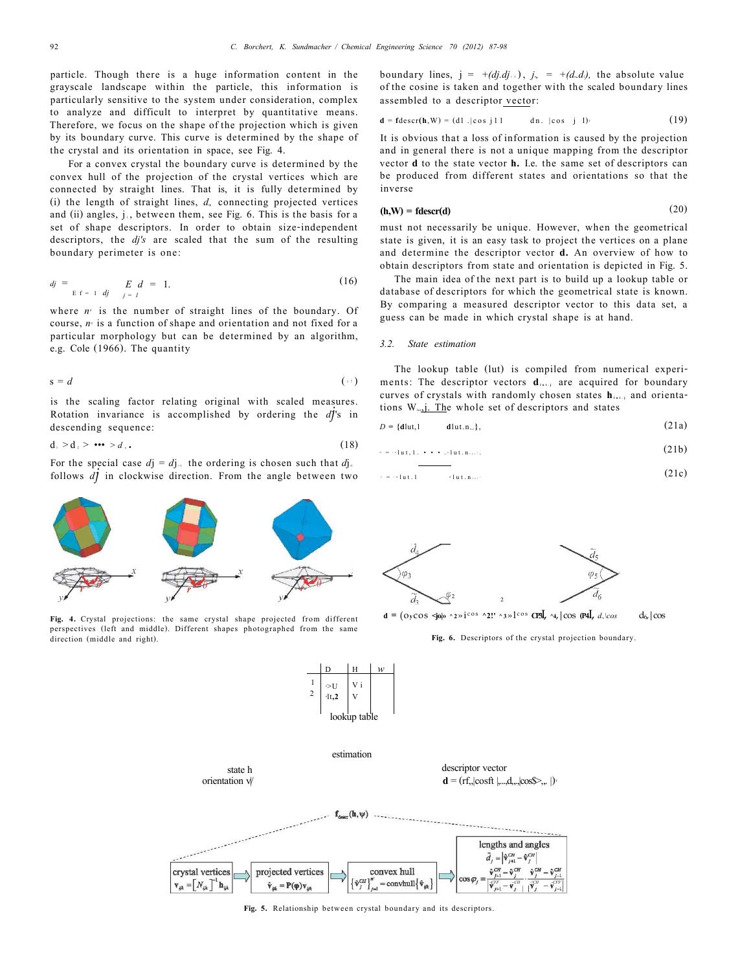particle. Though there is a huge information content in the grayscale landscape within the particle, this information is particularly sensitive to the system under consideration, complex to analyze and difficult to interpret by quantitative means. Therefore, we focus on the shape of the projection which is given by its boundary curve. This curve is determined by the shape of the crystal and its orientation in space, see Fig. 4.

For a convex crystal the boundary curve is determined by the convex hull of the projection of the crystal vertices which are connected by straight lines. That is, it is fully determined by (i) the length of straight lines, *di,* connecting projected vertices and (ii) angles, j<sub>i</sub>, between them, see Fig. 6. This is the basis for a set of shape descriptors. In order to obtain size-independent descriptors, the *dj's* are scaled that the sum of the resulting boundary perimeter is one:

$$
dj = \sum_{E \ f = 1 \ df} \quad E \ d = 1. \tag{16}
$$

where  $n<sup>o</sup>$  is the number of straight lines of the boundary. Of course,  $n<sup>o</sup>$  is a function of shape and orientation and not fixed for a particular morphology but can be determined by an algorithm, e.g. Cole (1966). The quantity

$$
s = d \tag{17}
$$

is the scaling factor relating original with scaled measures. Rotation invariance is accomplished by ordering the *dj*'s in descending sequence:

$$
\mathbf{d}_1 > \mathbf{d}_2 > \cdots > d_{\mathbf{d}}.\tag{18}
$$

For the special case  $dj = dj_{++}$  the ordering is chosen such that  $dj_{++}$ follows *dj* in clockwise direction. From the angle between two



$$
\mathbf{d} = \mathbf{f} \cdot \mathbf{d} \cdot \mathbf{e} \cdot \mathbf{d} \cdot \mathbf{e} \cdot \mathbf{d} \cdot \mathbf{e} \cdot \mathbf{e} \cdot \mathbf{e} \cdot \mathbf{d} \cdot \mathbf{e} \cdot \mathbf{e} \cdot \mathbf{e} \cdot \mathbf{e} \cdot \mathbf{e} \cdot \mathbf{e} \cdot \mathbf{e} \cdot \mathbf{e} \cdot \mathbf{e} \cdot \mathbf{e} \cdot \mathbf{e} \cdot \mathbf{e} \cdot \mathbf{e} \cdot \mathbf{e} \cdot \mathbf{e} \cdot \mathbf{e} \cdot \mathbf{e} \cdot \mathbf{e} \cdot \mathbf{e} \cdot \mathbf{e} \cdot \mathbf{e} \cdot \mathbf{e} \cdot \mathbf{e} \cdot \mathbf{e} \cdot \mathbf{e} \cdot \mathbf{e} \cdot \mathbf{e} \cdot \mathbf{e} \cdot \mathbf{e} \cdot \mathbf{e} \cdot \mathbf{e} \cdot \mathbf{e} \cdot \mathbf{e} \cdot \mathbf{e} \cdot \mathbf{e} \cdot \mathbf{e} \cdot \mathbf{e} \cdot \mathbf{e} \cdot \mathbf{e} \cdot \mathbf{e} \cdot \mathbf{e} \cdot \mathbf{e} \cdot \mathbf{e} \cdot \mathbf{e} \cdot \mathbf{e} \cdot \mathbf{e} \cdot \mathbf{e} \cdot \mathbf{e} \cdot \mathbf{e} \cdot \mathbf{e} \cdot \mathbf{e} \cdot \mathbf{e} \cdot \mathbf{e} \cdot \mathbf{e} \cdot \mathbf{e} \cdot \mathbf{e} \cdot \mathbf{e} \cdot \mathbf{e} \cdot \mathbf{e} \cdot \mathbf{e} \cdot \mathbf{e} \cdot \mathbf{e} \cdot \mathbf{e} \cdot \mathbf{e} \cdot \mathbf{e} \cdot \mathbf{e} \cdot \mathbf{e} \cdot \mathbf{e} \cdot \mathbf{e} \cdot \mathbf{e} \cdot \mathbf{e} \cdot \mathbf{e} \cdot \mathbf{e} \cdot \mathbf{e} \cdot \mathbf{e} \cdot \mathbf{e} \cdot \mathbf{e} \cdot \mathbf{e} \cdot \mathbf{e} \cdot \mathbf{e} \cdot \mathbf{e} \cdot \mathbf{e} \cdot \mathbf{e} \cdot \mathbf{e} \cdot \
$$

It is obvious that a loss of information is caused by the projection and in general there is not a unique mapping from the descriptor vector **d** to the state vector **h.** I.e. the same set of descriptors can be produced from different states and orientations so that the inverse

$$
(\mathbf{h}, \mathbf{W}) = \mathbf{f} \mathbf{descr}(\mathbf{d}) \tag{20}
$$

must not necessarily be unique. However, when the geometrical state is given, it is an easy task to project the vertices on a plane and determine the descriptor vector **d.** An overview of how to obtain descriptors from state and orientation is depicted in Fig. 5.

The main idea of the next part is to build up a lookup table or database of descriptors for which the geometrical state is known. By comparing a measured descriptor vector to this data set, a guess can be made in which crystal shape is at hand.

#### *3.2. State estimation*

The lookup table (lut) is compiled from numerical experiments: The descriptor vectors  $d_{\text{test}}$  are acquired for boundary curves of crystals with randomly chosen states **hlut. <sup>j</sup>** and orientations  $W_{\text{int}}$ . The whole set of descriptors and states

$$
D = \{ \text{dlut}, 1 \qquad \text{dlut}, n_{\text{out}} \},\tag{21a}
$$

$$
x = \bigcirc \text{1ut}, 1, \dots, \bigcirc \text{1ut}, n_{\text{1}} \bigcirc \bigcirc \tag{21b}
$$

$$
= \sqrt{1 + 1} \tag{21c}
$$



**Fig. 4.** Crystal projections: the same crystal shape projected from different perspectives (left and middle). Different shapes photographed from the same direction (middle and right).



**d** = ( $\text{OyCOS}$   $\leq$ **jo** $\upphi$  ^2 $\text{y}$ **i**<sup>cos</sup> ^2!' ^3 $\text{y}$ <sup>1</sup><sup>cos</sup> **CP3***I*, ^4,|cos (P4*I*, *d<sub>i</sub>*,l*cos* d<sub>6</sub>,|cos

**Fig. 6.** Descriptors of the crystal projection boundary.



D H *w* 

 $\triangleright$ U V i  $41.2$ 

1

**Fig. 5.** Relationship between crystal boundary and its descriptors.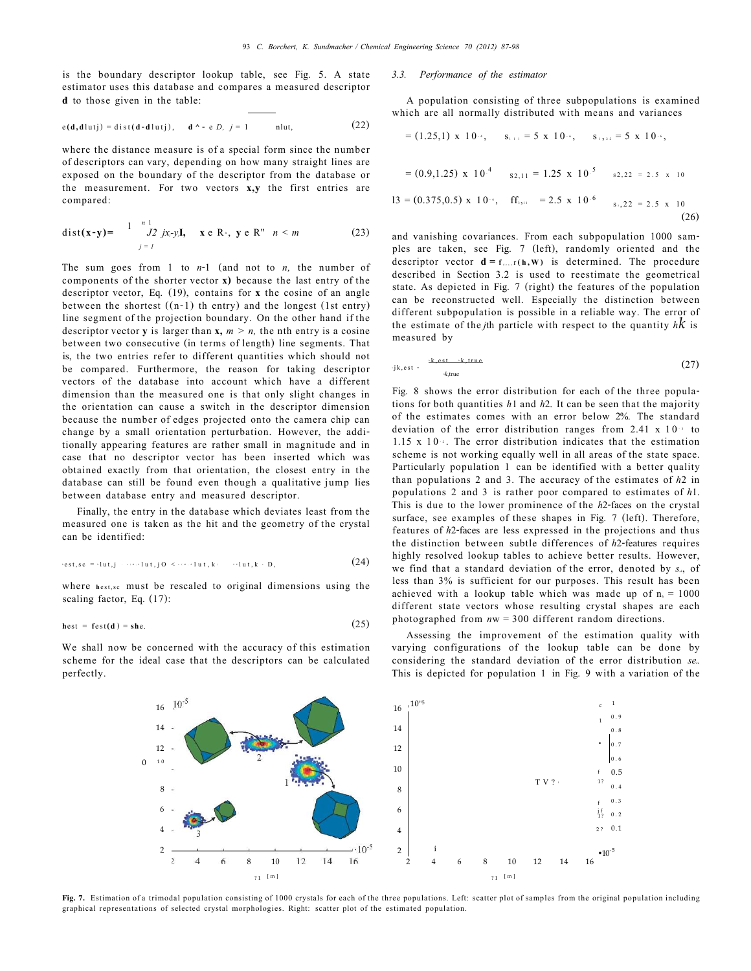is the boundary descriptor lookup table, see Fig. 5. A state estimator uses this database and compares a measured descriptor **d** to those given in the table:

$$
e(d, d)u(j) = dist(d-d)u(j), \quad d \wedge \text{-} e D, \ j = 1 \quad \text{nl}u(j), \tag{22}
$$

where the distance measure is of a special form since the number of descriptors can vary, depending on how many straight lines are exposed on the boundary of the descriptor from the database or the measurement. For two vectors **x,y** the first entries are compared:

dist(**x**-**y**) = 
$$
\int_{j=1}^{n} \int_{2}^{n} jx_{j}y_{j}dy
$$
, **x** e R<sup>\*</sup>, **y** e R<sup>n</sup>  $n < m$  (23)

The sum goes from 1 to *n*-1 (and not to *n,* the number of components of the shorter vector **x)** because the last entry of the descriptor vector, Eq. (19), contains for **x** the cosine of an angle between the shortest ((n-1) th entry) and the longest (1st entry) line segment of the projection boundary. On the other hand if the descriptor vector **y** is larger than  $x$ ,  $m > n$ , the nth entry is a cosine between two consecutive (in terms of length) line segments. That is, the two entries refer to different quantities which should not be compared. Furthermore, the reason for taking descriptor vectors of the database into account which have a different dimension than the measured one is that only slight changes in the orientation can cause a switch in the descriptor dimension because the number of edges projected onto the camera chip can change by a small orientation perturbation. However, the additionally appearing features are rather small in magnitude and in case that no descriptor vector has been inserted which was obtained exactly from that orientation, the closest entry in the database can still be found even though a qualitative jump lies between database entry and measured descriptor.

Finally, the entry in the database which deviates least from the measured one is taken as the hit and the geometry of the crystal can be identified:

$$
\text{test}, sc = \{lut, j \mid \cdots \text{dist}, j \in \{1, \ldots, l \text{ut}, k\} \text{ with } k \in D, \tag{24}
$$

where **h**est,sc must be rescaled to original dimensions using the scaling factor, Eq. (17):

$$
hest = fest(d) = she.
$$
 (25)

We shall now be concerned with the accuracy of this estimation scheme for the ideal case that the descriptors can be calculated perfectly.

### *3.3. Performance of the estimator*

A population consisting of three subpopulations is examined which are all normally distributed with means and variances

$$
= (1.25,1) \times 10^{-4}, \quad s_{i+1} = 5 \times 10^{-4}, \quad s_{i+2} = 5 \times 10^{-4},
$$
  

$$
= (0.9,1.25) \times 10^{-4} \quad s_{2,11} = 1.25 \times 10^{-5} \quad s_{2,22} = 2.5 \times 10
$$
  

$$
13 = (0.375,0.5) \times 10^{-4}, \quad ff_{i+1} = 2.5 \times 10^{-6} \quad s_{i+22} = 2.5 \times 10
$$
  
(26)

and vanishing covariances. From each subpopulation 1000 samples are taken, see Fig. 7 (left), randomly oriented and the descriptor vector  $d = f_{\text{max}}(h, W)$  is determined. The procedure described in Section 3.2 is used to reestimate the geometrical state. As depicted in Fig. 7 (right) the features of the population can be reconstructed well. Especially the distinction between different subpopulation is possible in a reliable way. The error of the estimate of the *j*th particle with respect to the quantity *hk* is measured by

$$
y_{k,est} \cdot \frac{y_{k,est} + y_{k,true}}{x_{k,true}} \tag{27}
$$

Fig. 8 shows the error distribution for each of the three populations for both quantities *h*1 and *h*2. It can be seen that the majority of the estimates comes with an error below 2%. The standard deviation of the error distribution ranges from  $2.41 \times 10^{-3}$  to 1.15 x  $10$ . The error distribution indicates that the estimation scheme is not working equally well in all areas of the state space. Particularly population 1 can be identified with a better quality than populations 2 and 3. The accuracy of the estimates of *h*2 in populations 2 and 3 is rather poor compared to estimates of *h*1. This is due to the lower prominence of the *h*2-faces on the crystal surface, see examples of these shapes in Fig. 7 (left). Therefore, features of *h*2-faces are less expressed in the projections and thus the distinction between subtle differences of *h*2-features requires highly resolved lookup tables to achieve better results. However, we find that a standard deviation of the error, denoted by *sek*, of less than 3% is sufficient for our purposes. This result has been achieved with a lookup table which was made up of  $n<sub>n</sub> = 1000$ different state vectors whose resulting crystal shapes are each photographed from *n*w = 300 different random directions.

Assessing the improvement of the estimation quality with varying configurations of the lookup table can be done by considering the standard deviation of the error distribution *sek.*  This is depicted for population 1 in Fig. 9 with a variation of the



<span id="page-6-0"></span>Fig. 7. Estimation of a trimodal population consisting of 1000 crystals for each of the three populations. Left: scatter plot of samples from the original population including graphical representations of selected crystal morphologies. Right: scatter plot of the estimated population.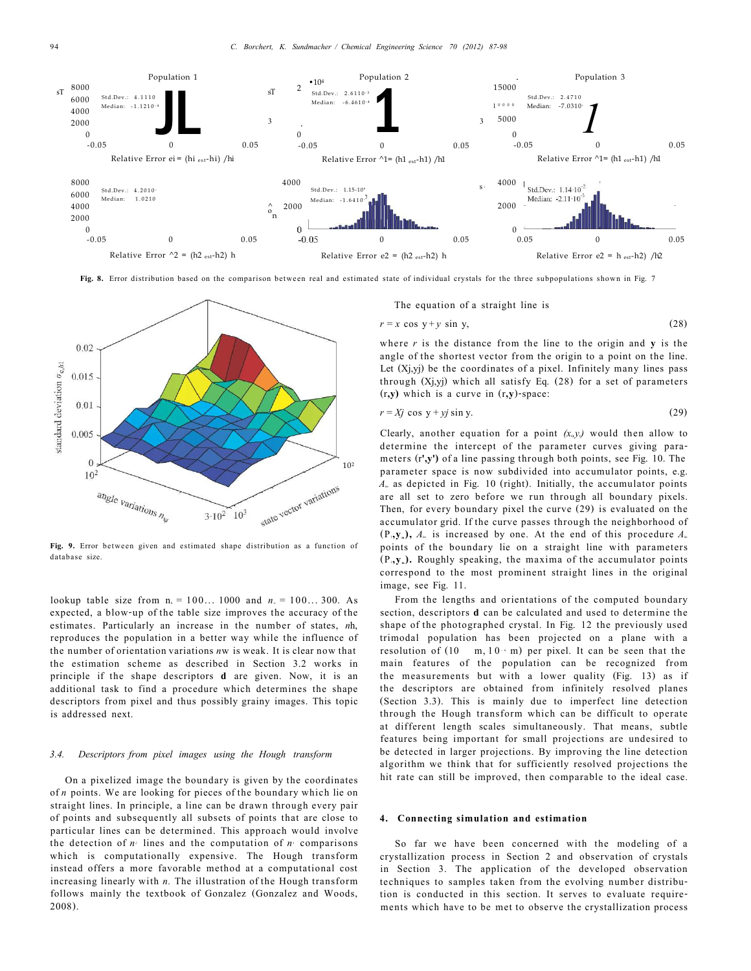

**Fig. 8.** Error distribution based on the comparison between real and estimated state of individual crystals for the three subpopulations shown in [Fig. 7](#page-6-0)



**Fig. 9.** Error between given and estimated shape distribution as a function of database size.

lookup table size from  $n_0 = 100...1000$  and  $n_0 = 100...300$ . As expected, a blow-up of the table size improves the accuracy of the estimates. Particularly an increase in the number of states, *n*h, reproduces the population in a better way while the influence of the number of orientation variations *n*w is weak. It is clear now that the estimation scheme as described in Section 3.2 works in principle if the shape descriptors **d** are given. Now, it is an additional task to find a procedure which determines the shape descriptors from pixel and thus possibly grainy images. This topic is addressed next.

# *3.4. Descriptors from pixel images using the Hough transform*

On a pixelized image the boundary is given by the coordinates of *n* points. We are looking for pieces of the boundary which lie on straight lines. In principle, a line can be drawn through every pair of points and subsequently all subsets of points that are close to particular lines can be determined. This approach would involve the detection of  $n<sup>2</sup>$  lines and the computation of  $n<sup>3</sup>$  comparisons which is computationally expensive. The Hough transform instead offers a more favorable method at a computational cost increasing linearly with *n.* The illustration of the Hough transform follows mainly the textbook of Gonzalez (Gonzalez and Woods, 2008).

The equation of a straight line is

$$
r = x \cos y + y \sin y,\tag{28}
$$

where  $r$  is the distance from the line to the origin and  $y$  is the angle of the shortest vector from the origin to a point on the line. Let  $(X_j, y_j)$  be the coordinates of a pixel. Infinitely many lines pass through (Xj,yj) which all satisfy Eq. (28) for a set of parameters (r**,y)** which is a curve in (r**,y**)-space:

$$
r = Xj \cos y + yj \sin y. \tag{29}
$$

Clearly, another equation for a point  $(x, y)$  would then allow to determine the intercept of the parameter curves giving parameters (r**',y')** of a line passing through both points, see Fig. 10. The parameter space is now subdivided into accumulator points, e.g. *Alm* as depicted in Fig. 10 (right). Initially, the accumulator points are all set to zero before we run through all boundary pixels. Then, for every boundary pixel the curve (29) is evaluated on the accumulator grid. If the curve passes through the neighborhood of  $(P_{\mathbf{a}}, \mathbf{y}_m)$ ,  $A_{\mathbf{b}}$  is increased by one. At the end of this procedure  $A_{\mathbf{b}}$ points of the boundary lie on a straight line with parameters  $(P_1, y_*)$ . Roughly speaking, the maxima of the accumulator points correspond to the most prominent straight lines in the original image, see Fig. 11.

From the lengths and orientations of the computed boundary section, descriptors **d** can be calculated and used to determine the shape of the photographed crystal. In Fig. 12 the previously used trimodal population has been projected on a plane with a resolution of  $(10 \text{ m}, 10 \cdot \text{m})$  per pixel. It can be seen that the main features of the population can be recognized from the measurements but with a lower quality (Fig. 13) as if the descriptors are obtained from infinitely resolved planes (Section 3.3). This is mainly due to imperfect line detection through the Hough transform which can be difficult to operate at different length scales simultaneously. That means, subtle features being important for small projections are undesired to be detected in larger projections. By improving the line detection algorithm we think that for sufficiently resolved projections the hit rate can still be improved, then comparable to the ideal case.

#### **4. Connecting simulation and estimation**

So far we have been concerned with the modeling of a crystallization process in Section 2 and observation of crystals in Section 3. The application of the developed observation techniques to samples taken from the evolving number distribution is conducted in this section. It serves to evaluate requirements which have to be met to observe the crystallization process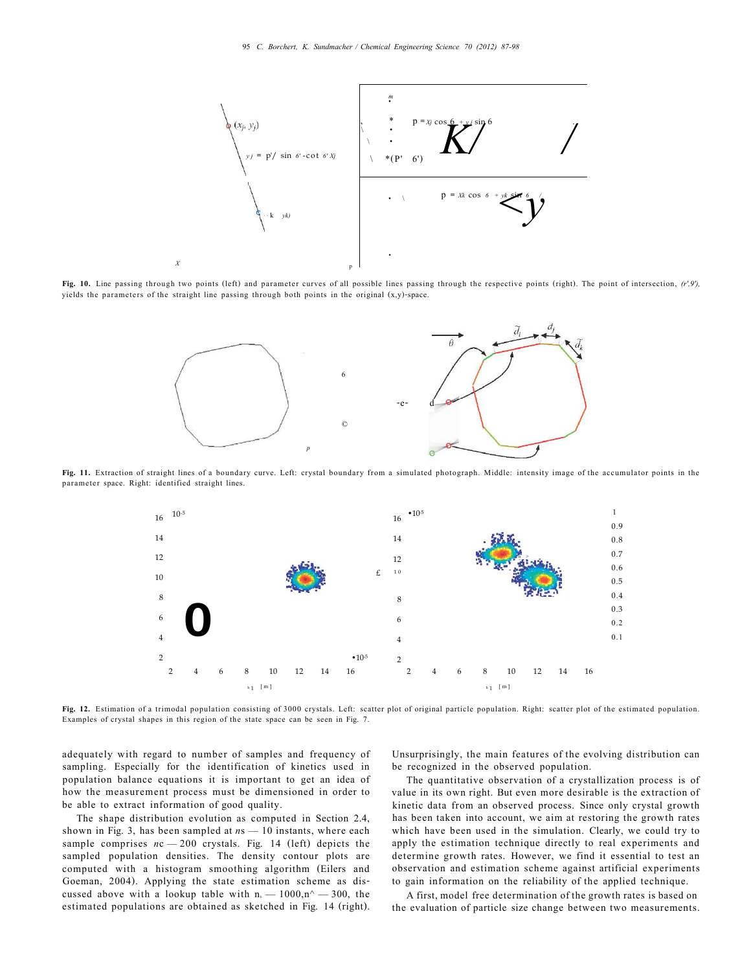

**Fig. 10.** Line passing through two points (left) and parameter curves of all possible lines passing through the respective points (right). The point of intersection, *(r',9'),*  yields the parameters of the straight line passing through both points in the original (x,y)-space.



**Fig. 11.** Extraction of straight lines of a boundary curve. Left: crystal boundary from a simulated photograph. Middle: intensity image of the accumulator points in the parameter space. Right: identified straight lines.



**Fig. 12.** Estimation of a trimodal population consisting of 3000 crystals. Left: scatter plot of original particle population. Right: scatter plot of the estimated population. Examples of crystal shapes in this region of the state space can be seen in Fig. 7.

adequately with regard to number of samples and frequency of sampling. Especially for the identification of kinetics used in population balance equations it is important to get an idea of how the measurement process must be dimensioned in order to be able to extract information of good quality.

The shape distribution evolution as computed in Section 2.4, shown in Fig. 3, has been sampled at *n*s — 10 instants, where each sample comprises  $nc - 200$  crystals. Fig. 14 (left) depicts the sampled population densities. The density contour plots are computed with a histogram smoothing algorithm (Eilers and Goeman, 2004). Applying the state estimation scheme as discussed above with a lookup table with  $n = 1000, n^2 - 300$ , the estimated populations are obtained as sketched in Fig. 14 (right).

Unsurprisingly, the main features of the evolving distribution can be recognized in the observed population.

The quantitative observation of a crystallization process is of value in its own right. But even more desirable is the extraction of kinetic data from an observed process. Since only crystal growth has been taken into account, we aim at restoring the growth rates which have been used in the simulation. Clearly, we could try to apply the estimation technique directly to real experiments and determine growth rates. However, we find it essential to test an observation and estimation scheme against artificial experiments to gain information on the reliability of the applied technique.

A first, model free determination of the growth rates is based on the evaluation of particle size change between two measurements.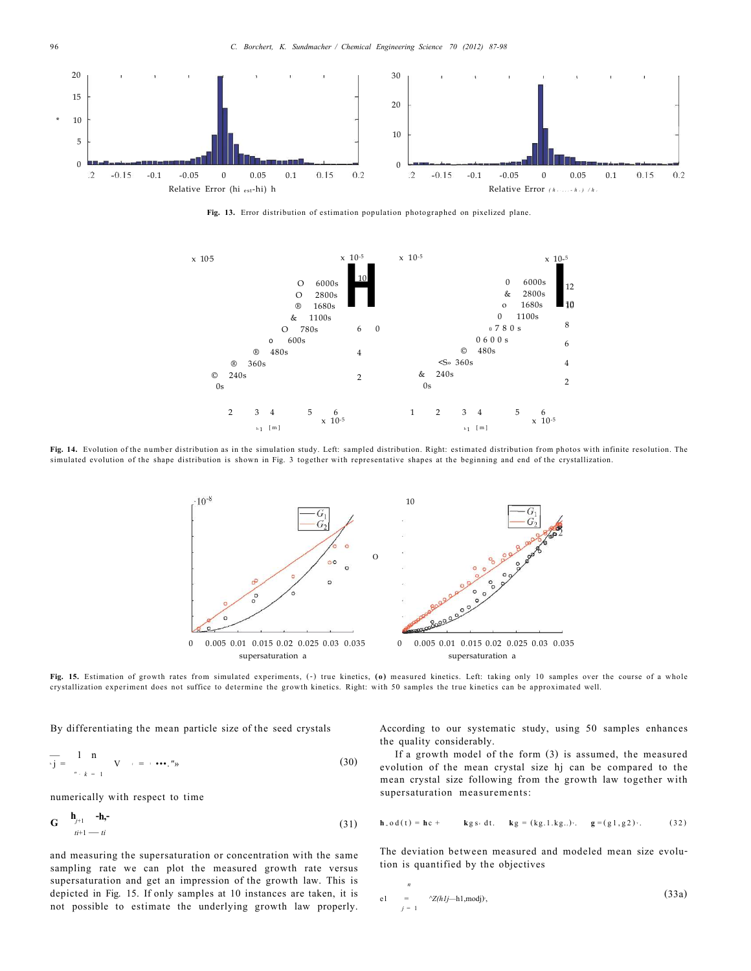

**Fig. 13.** Error distribution of estimation population photographed on pixelized plane.



**Fig. 14.** Evolution of the number distribution as in the simulation study. Left: sampled distribution. Right: estimated distribution from photos with infinite resolution. The simulated evolution of the shape distribution is shown in Fig. 3 together with representative shapes at the beginning and end of the crystallization.



**Fig. 15.** Estimation of growth rates from simulated experiments, (-) true kinetics, **(o)** measured kinetics. Left: taking only 10 samples over the course of a whole crystallization experiment does not suffice to determine the growth kinetics. Right: with 50 samples the true kinetics can be approximated well.

By differentiating the mean particle size of the seed crystals

$$
\overline{\mathbf{v}} = \begin{pmatrix} 1 & \mathbf{n} \\ \mathbf{v} & \mathbf{n} \\ \mathbf{n} & \mathbf{n} \\ \mathbf{n} & \mathbf{n} \end{pmatrix} \quad \mathbf{V} \quad \mathbf{v} = \mathbf{v} \cdot \mathbf{v} \cdot \mathbf{n} \tag{30}
$$

numerically with respect to time

$$
\mathbf{G} \qquad \begin{array}{c}\n \mathbf{h}_{j+1} & -\mathbf{h}_{\mathbf{r}} \\
 \mathbf{h}_{i+1} & -\mathbf{h}_{i}\n \end{array} \tag{31}
$$

and measuring the supersaturation or concentration with the same sampling rate we can plot the measured growth rate versus supersaturation and get an impression of the growth law. This is depicted in Fig. 15. If only samples at 10 instances are taken, it is not possible to estimate the underlying growth law properly.

According to our systematic study, using 50 samples enhances the quality considerably.

If a growth model of the form (3) is assumed, the measured evolution of the mean crystal size hj can be compared to the mean crystal size following from the growth law together with supersaturation measurements:

$$
\mathbf{h}_{\circ} \circ d(t) = \mathbf{h} c + \qquad \text{kg s} \cdot dt. \qquad \mathbf{kg} = (kg.1 \cdot kg.)^{\frac{1}{2}}. \qquad \mathbf{g} = (g1, g2)^{\frac{1}{2}}. \tag{32}
$$

The deviation between measured and modeled mean size evolution is quantified by the objectives

$$
\begin{array}{ll}\nn\\ \n\text{el} &= \sqrt{2(hlj-h1,\text{mod}j)},\\
j=1\n\end{array}\n\tag{33a}
$$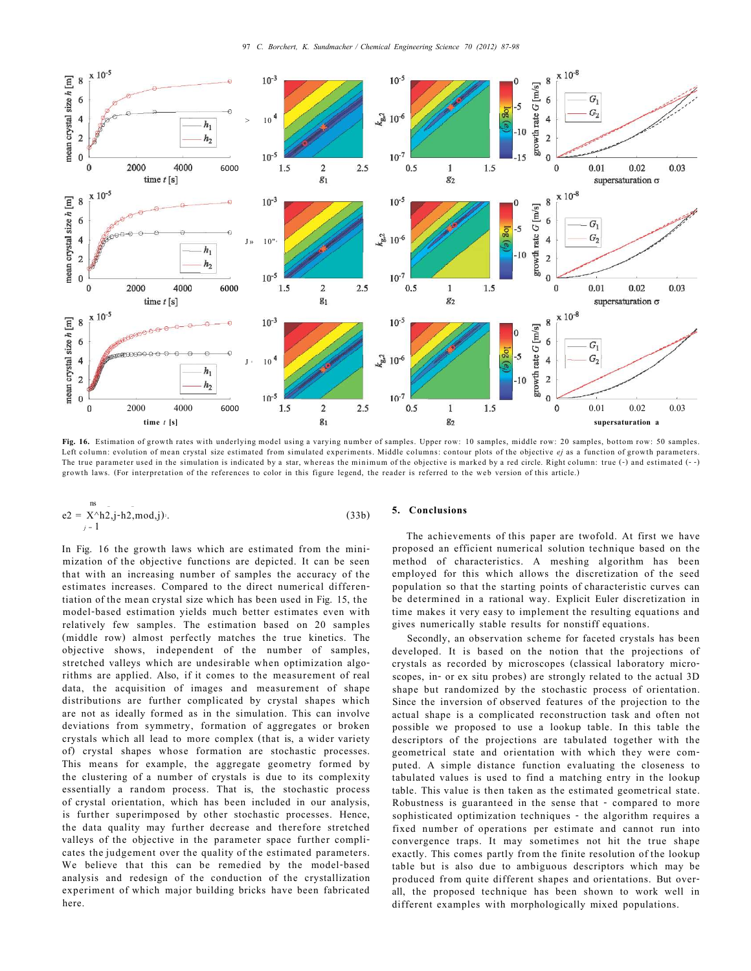

**Fig. 16.** Estimation of growth rates with underlying model using a varying number of samples. Upper row: 10 samples, middle row: 20 samples, bottom row: 50 samples. Left column: evolution of mean crystal size estimated from simulated experiments. Middle columns: contour plots of the objective *ej* as a function of growth parameters. The true parameter used in the simulation is indicated by a star, whereas the minimum of the objective is marked by a red circle. Right column: true (-) and estimated (--) growth laws. (For interpretation of the references to color in this figure legend, the reader is referred to the web version of this article.)

$$
e2 = \sum_{j=1}^{ns} x^{\wedge}h2, j\cdot h2, \text{mod}, j
$$
 (33b)

In Fig. 16 the growth laws which are estimated from the minimization of the objective functions are depicted. It can be seen that with an increasing number of samples the accuracy of the estimates increases. Compared to the direct numerical differentiation of the mean crystal size which has been used in Fig. 15, the model-based estimation yields much better estimates even with relatively few samples. The estimation based on 20 samples (middle row) almost perfectly matches the true kinetics. The objective shows, independent of the number of samples, stretched valleys which are undesirable when optimization algorithms are applied. Also, if it comes to the measurement of real data, the acquisition of images and measurement of shape distributions are further complicated by crystal shapes which are not as ideally formed as in the simulation. This can involve deviations from symmetry, formation of aggregates or broken crystals which all lead to more complex (that is, a wider variety of) crystal shapes whose formation are stochastic processes. This means for example, the aggregate geometry formed by the clustering of a number of crystals is due to its complexity essentially a random process. That is, the stochastic process of crystal orientation, which has been included in our analysis, is further superimposed by other stochastic processes. Hence, the data quality may further decrease and therefore stretched valleys of the objective in the parameter space further complicates the judgement over the quality of the estimated parameters. We believe that this can be remedied by the model-based analysis and redesign of the conduction of the crystallization experiment of which major building bricks have been fabricated here.

#### **5. Conclusions**

The achievements of this paper are twofold. At first we have proposed an efficient numerical solution technique based on the method of characteristics. A meshing algorithm has been employed for this which allows the discretization of the seed population so that the starting points of characteristic curves can be determined in a rational way. Explicit Euler discretization in time makes it very easy to implement the resulting equations and gives numerically stable results for nonstiff equations.

Secondly, an observation scheme for faceted crystals has been developed. It is based on the notion that the projections of crystals as recorded by microscopes (classical laboratory microscopes, in- or ex situ probes) are strongly related to the actual 3D shape but randomized by the stochastic process of orientation. Since the inversion of observed features of the projection to the actual shape is a complicated reconstruction task and often not possible we proposed to use a lookup table. In this table the descriptors of the projections are tabulated together with the geometrical state and orientation with which they were computed. A simple distance function evaluating the closeness to tabulated values is used to find a matching entry in the lookup table. This value is then taken as the estimated geometrical state. Robustness is guaranteed in the sense that - compared to more sophisticated optimization techniques - the algorithm requires a fixed number of operations per estimate and cannot run into convergence traps. It may sometimes not hit the true shape exactly. This comes partly from the finite resolution of the lookup table but is also due to ambiguous descriptors which may be produced from quite different shapes and orientations. But overall, the proposed technique has been shown to work well in different examples with morphologically mixed populations.